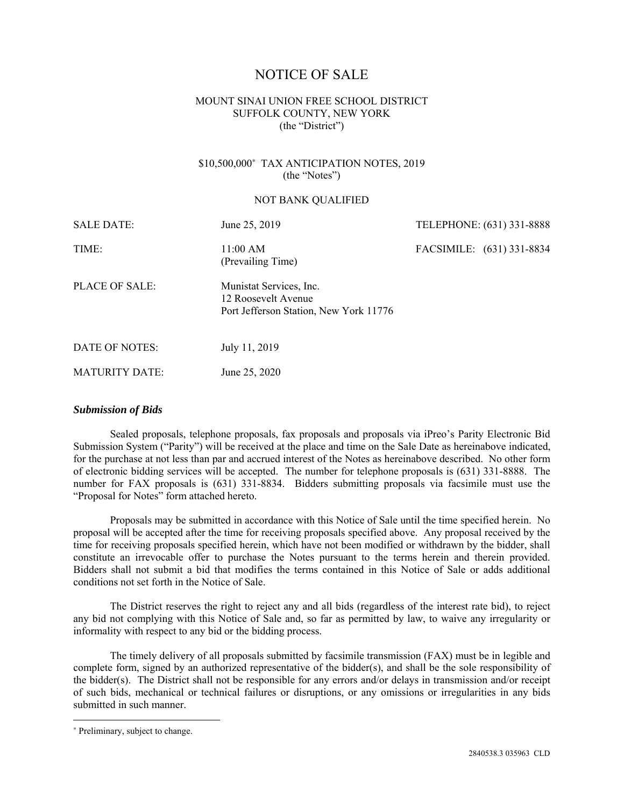# NOTICE OF SALE

## MOUNT SINAI UNION FREE SCHOOL DISTRICT SUFFOLK COUNTY, NEW YORK (the "District")

## \$10,500,000<sup>∗</sup> TAX ANTICIPATION NOTES, 2019 (the "Notes")

#### NOT BANK QUALIFIED

| <b>SALE DATE:</b>     | June 25, 2019                                                                            | TELEPHONE: (631) 331-8888 |
|-----------------------|------------------------------------------------------------------------------------------|---------------------------|
| TIME:                 | 11:00 AM<br>(Prevailing Time)                                                            | FACSIMILE: (631) 331-8834 |
| PLACE OF SALE:        | Munistat Services, Inc.<br>12 Roosevelt Avenue<br>Port Jefferson Station, New York 11776 |                           |
| DATE OF NOTES:        | July 11, 2019                                                                            |                           |
| <b>MATURITY DATE:</b> | June 25, 2020                                                                            |                           |

### *Submission of Bids*

Sealed proposals, telephone proposals, fax proposals and proposals via iPreo's Parity Electronic Bid Submission System ("Parity") will be received at the place and time on the Sale Date as hereinabove indicated, for the purchase at not less than par and accrued interest of the Notes as hereinabove described. No other form of electronic bidding services will be accepted. The number for telephone proposals is (631) 331-8888. The number for FAX proposals is (631) 331-8834. Bidders submitting proposals via facsimile must use the "Proposal for Notes" form attached hereto.

Proposals may be submitted in accordance with this Notice of Sale until the time specified herein. No proposal will be accepted after the time for receiving proposals specified above. Any proposal received by the time for receiving proposals specified herein, which have not been modified or withdrawn by the bidder, shall constitute an irrevocable offer to purchase the Notes pursuant to the terms herein and therein provided. Bidders shall not submit a bid that modifies the terms contained in this Notice of Sale or adds additional conditions not set forth in the Notice of Sale.

The District reserves the right to reject any and all bids (regardless of the interest rate bid), to reject any bid not complying with this Notice of Sale and, so far as permitted by law, to waive any irregularity or informality with respect to any bid or the bidding process.

The timely delivery of all proposals submitted by facsimile transmission (FAX) must be in legible and complete form, signed by an authorized representative of the bidder(s), and shall be the sole responsibility of the bidder(s). The District shall not be responsible for any errors and/or delays in transmission and/or receipt of such bids, mechanical or technical failures or disruptions, or any omissions or irregularities in any bids submitted in such manner.

<u>.</u>

<sup>∗</sup> Preliminary, subject to change.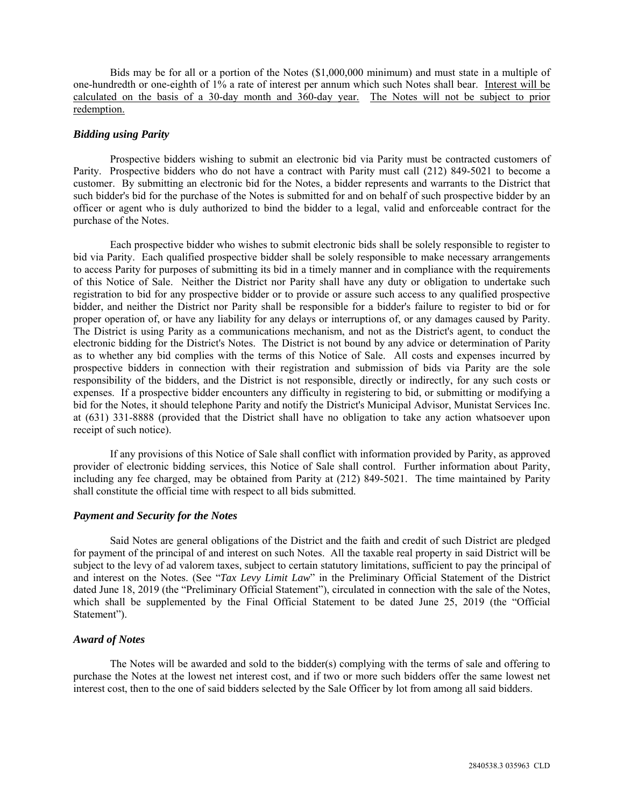Bids may be for all or a portion of the Notes (\$1,000,000 minimum) and must state in a multiple of one-hundredth or one-eighth of 1% a rate of interest per annum which such Notes shall bear. Interest will be calculated on the basis of a 30-day month and 360-day year. The Notes will not be subject to prior redemption.

## *Bidding using Parity*

Prospective bidders wishing to submit an electronic bid via Parity must be contracted customers of Parity. Prospective bidders who do not have a contract with Parity must call (212) 849-5021 to become a customer. By submitting an electronic bid for the Notes, a bidder represents and warrants to the District that such bidder's bid for the purchase of the Notes is submitted for and on behalf of such prospective bidder by an officer or agent who is duly authorized to bind the bidder to a legal, valid and enforceable contract for the purchase of the Notes.

Each prospective bidder who wishes to submit electronic bids shall be solely responsible to register to bid via Parity. Each qualified prospective bidder shall be solely responsible to make necessary arrangements to access Parity for purposes of submitting its bid in a timely manner and in compliance with the requirements of this Notice of Sale. Neither the District nor Parity shall have any duty or obligation to undertake such registration to bid for any prospective bidder or to provide or assure such access to any qualified prospective bidder, and neither the District nor Parity shall be responsible for a bidder's failure to register to bid or for proper operation of, or have any liability for any delays or interruptions of, or any damages caused by Parity. The District is using Parity as a communications mechanism, and not as the District's agent, to conduct the electronic bidding for the District's Notes. The District is not bound by any advice or determination of Parity as to whether any bid complies with the terms of this Notice of Sale. All costs and expenses incurred by prospective bidders in connection with their registration and submission of bids via Parity are the sole responsibility of the bidders, and the District is not responsible, directly or indirectly, for any such costs or expenses. If a prospective bidder encounters any difficulty in registering to bid, or submitting or modifying a bid for the Notes, it should telephone Parity and notify the District's Municipal Advisor, Munistat Services Inc. at (631) 331-8888 (provided that the District shall have no obligation to take any action whatsoever upon receipt of such notice).

If any provisions of this Notice of Sale shall conflict with information provided by Parity, as approved provider of electronic bidding services, this Notice of Sale shall control. Further information about Parity, including any fee charged, may be obtained from Parity at (212) 849-5021. The time maintained by Parity shall constitute the official time with respect to all bids submitted.

## *Payment and Security for the Notes*

Said Notes are general obligations of the District and the faith and credit of such District are pledged for payment of the principal of and interest on such Notes. All the taxable real property in said District will be subject to the levy of ad valorem taxes, subject to certain statutory limitations, sufficient to pay the principal of and interest on the Notes. (See "*Tax Levy Limit Law*" in the Preliminary Official Statement of the District dated June 18, 2019 (the "Preliminary Official Statement"), circulated in connection with the sale of the Notes, which shall be supplemented by the Final Official Statement to be dated June 25, 2019 (the "Official Statement").

## *Award of Notes*

The Notes will be awarded and sold to the bidder(s) complying with the terms of sale and offering to purchase the Notes at the lowest net interest cost, and if two or more such bidders offer the same lowest net interest cost, then to the one of said bidders selected by the Sale Officer by lot from among all said bidders.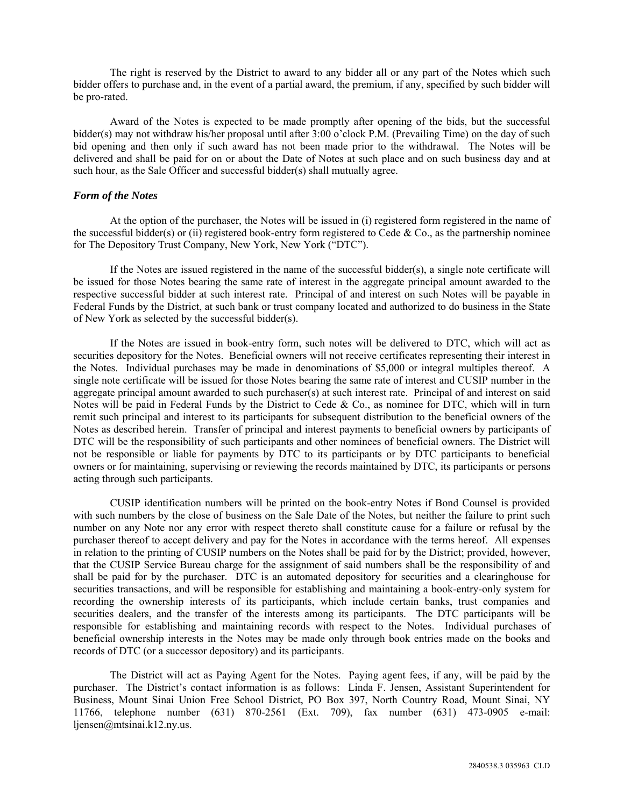The right is reserved by the District to award to any bidder all or any part of the Notes which such bidder offers to purchase and, in the event of a partial award, the premium, if any, specified by such bidder will be pro-rated.

Award of the Notes is expected to be made promptly after opening of the bids, but the successful bidder(s) may not withdraw his/her proposal until after 3:00 o'clock P.M. (Prevailing Time) on the day of such bid opening and then only if such award has not been made prior to the withdrawal. The Notes will be delivered and shall be paid for on or about the Date of Notes at such place and on such business day and at such hour, as the Sale Officer and successful bidder(s) shall mutually agree.

## *Form of the Notes*

At the option of the purchaser, the Notes will be issued in (i) registered form registered in the name of the successful bidder(s) or (ii) registered book-entry form registered to Cede  $& Co.,$  as the partnership nominee for The Depository Trust Company, New York, New York ("DTC").

If the Notes are issued registered in the name of the successful bidder(s), a single note certificate will be issued for those Notes bearing the same rate of interest in the aggregate principal amount awarded to the respective successful bidder at such interest rate. Principal of and interest on such Notes will be payable in Federal Funds by the District, at such bank or trust company located and authorized to do business in the State of New York as selected by the successful bidder(s).

If the Notes are issued in book-entry form, such notes will be delivered to DTC, which will act as securities depository for the Notes. Beneficial owners will not receive certificates representing their interest in the Notes. Individual purchases may be made in denominations of \$5,000 or integral multiples thereof. A single note certificate will be issued for those Notes bearing the same rate of interest and CUSIP number in the aggregate principal amount awarded to such purchaser(s) at such interest rate. Principal of and interest on said Notes will be paid in Federal Funds by the District to Cede & Co., as nominee for DTC, which will in turn remit such principal and interest to its participants for subsequent distribution to the beneficial owners of the Notes as described herein. Transfer of principal and interest payments to beneficial owners by participants of DTC will be the responsibility of such participants and other nominees of beneficial owners. The District will not be responsible or liable for payments by DTC to its participants or by DTC participants to beneficial owners or for maintaining, supervising or reviewing the records maintained by DTC, its participants or persons acting through such participants.

CUSIP identification numbers will be printed on the book-entry Notes if Bond Counsel is provided with such numbers by the close of business on the Sale Date of the Notes, but neither the failure to print such number on any Note nor any error with respect thereto shall constitute cause for a failure or refusal by the purchaser thereof to accept delivery and pay for the Notes in accordance with the terms hereof. All expenses in relation to the printing of CUSIP numbers on the Notes shall be paid for by the District; provided, however, that the CUSIP Service Bureau charge for the assignment of said numbers shall be the responsibility of and shall be paid for by the purchaser. DTC is an automated depository for securities and a clearinghouse for securities transactions, and will be responsible for establishing and maintaining a book-entry-only system for recording the ownership interests of its participants, which include certain banks, trust companies and securities dealers, and the transfer of the interests among its participants. The DTC participants will be responsible for establishing and maintaining records with respect to the Notes. Individual purchases of beneficial ownership interests in the Notes may be made only through book entries made on the books and records of DTC (or a successor depository) and its participants.

The District will act as Paying Agent for the Notes. Paying agent fees, if any, will be paid by the purchaser. The District's contact information is as follows: Linda F. Jensen, Assistant Superintendent for Business, Mount Sinai Union Free School District, PO Box 397, North Country Road, Mount Sinai, NY 11766, telephone number (631) 870-2561 (Ext. 709), fax number (631) 473-0905 e-mail: ljensen@mtsinai.k12.ny.us.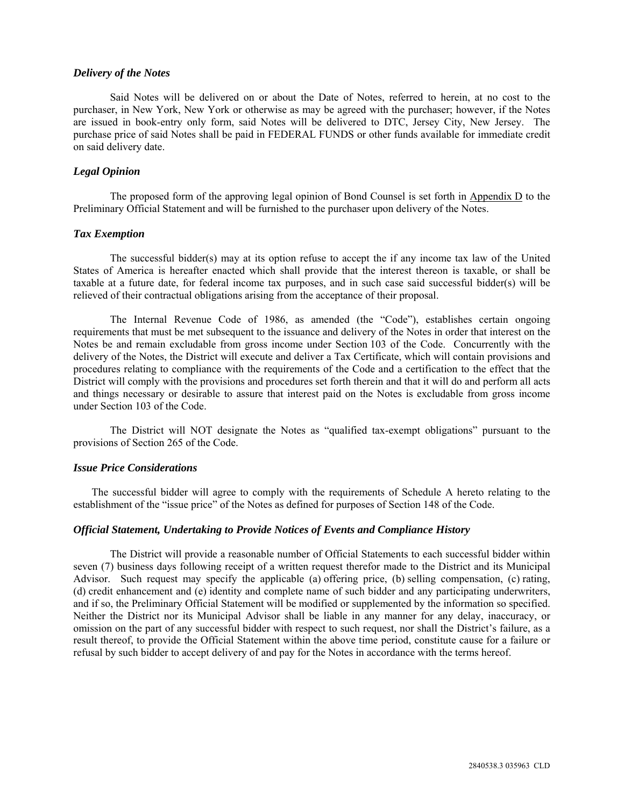#### *Delivery of the Notes*

Said Notes will be delivered on or about the Date of Notes, referred to herein, at no cost to the purchaser, in New York, New York or otherwise as may be agreed with the purchaser; however, if the Notes are issued in book-entry only form, said Notes will be delivered to DTC, Jersey City, New Jersey. The purchase price of said Notes shall be paid in FEDERAL FUNDS or other funds available for immediate credit on said delivery date.

#### *Legal Opinion*

The proposed form of the approving legal opinion of Bond Counsel is set forth in Appendix D to the Preliminary Official Statement and will be furnished to the purchaser upon delivery of the Notes.

#### *Tax Exemption*

The successful bidder(s) may at its option refuse to accept the if any income tax law of the United States of America is hereafter enacted which shall provide that the interest thereon is taxable, or shall be taxable at a future date, for federal income tax purposes, and in such case said successful bidder(s) will be relieved of their contractual obligations arising from the acceptance of their proposal.

The Internal Revenue Code of 1986, as amended (the "Code"), establishes certain ongoing requirements that must be met subsequent to the issuance and delivery of the Notes in order that interest on the Notes be and remain excludable from gross income under Section 103 of the Code. Concurrently with the delivery of the Notes, the District will execute and deliver a Tax Certificate, which will contain provisions and procedures relating to compliance with the requirements of the Code and a certification to the effect that the District will comply with the provisions and procedures set forth therein and that it will do and perform all acts and things necessary or desirable to assure that interest paid on the Notes is excludable from gross income under Section 103 of the Code.

The District will NOT designate the Notes as "qualified tax-exempt obligations" pursuant to the provisions of Section 265 of the Code.

#### *Issue Price Considerations*

The successful bidder will agree to comply with the requirements of Schedule A hereto relating to the establishment of the "issue price" of the Notes as defined for purposes of Section 148 of the Code.

#### *Official Statement, Undertaking to Provide Notices of Events and Compliance History*

The District will provide a reasonable number of Official Statements to each successful bidder within seven (7) business days following receipt of a written request therefor made to the District and its Municipal Advisor. Such request may specify the applicable (a) offering price, (b) selling compensation, (c) rating, (d) credit enhancement and (e) identity and complete name of such bidder and any participating underwriters, and if so, the Preliminary Official Statement will be modified or supplemented by the information so specified. Neither the District nor its Municipal Advisor shall be liable in any manner for any delay, inaccuracy, or omission on the part of any successful bidder with respect to such request, nor shall the District's failure, as a result thereof, to provide the Official Statement within the above time period, constitute cause for a failure or refusal by such bidder to accept delivery of and pay for the Notes in accordance with the terms hereof.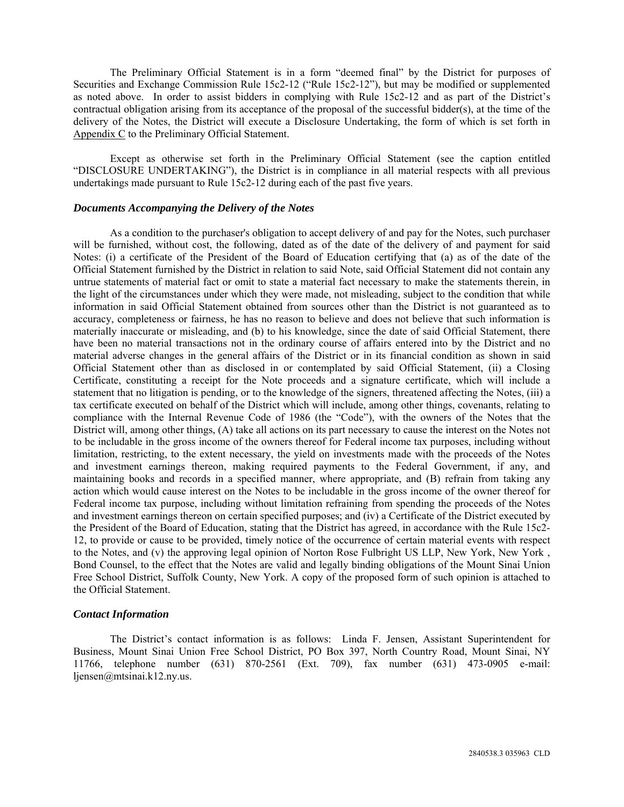The Preliminary Official Statement is in a form "deemed final" by the District for purposes of Securities and Exchange Commission Rule 15c2-12 ("Rule 15c2-12"), but may be modified or supplemented as noted above. In order to assist bidders in complying with Rule 15c2-12 and as part of the District's contractual obligation arising from its acceptance of the proposal of the successful bidder(s), at the time of the delivery of the Notes, the District will execute a Disclosure Undertaking, the form of which is set forth in Appendix C to the Preliminary Official Statement.

Except as otherwise set forth in the Preliminary Official Statement (see the caption entitled "DISCLOSURE UNDERTAKING"), the District is in compliance in all material respects with all previous undertakings made pursuant to Rule 15c2-12 during each of the past five years.

#### *Documents Accompanying the Delivery of the Notes*

As a condition to the purchaser's obligation to accept delivery of and pay for the Notes, such purchaser will be furnished, without cost, the following, dated as of the date of the delivery of and payment for said Notes: (i) a certificate of the President of the Board of Education certifying that (a) as of the date of the Official Statement furnished by the District in relation to said Note, said Official Statement did not contain any untrue statements of material fact or omit to state a material fact necessary to make the statements therein, in the light of the circumstances under which they were made, not misleading, subject to the condition that while information in said Official Statement obtained from sources other than the District is not guaranteed as to accuracy, completeness or fairness, he has no reason to believe and does not believe that such information is materially inaccurate or misleading, and (b) to his knowledge, since the date of said Official Statement, there have been no material transactions not in the ordinary course of affairs entered into by the District and no material adverse changes in the general affairs of the District or in its financial condition as shown in said Official Statement other than as disclosed in or contemplated by said Official Statement, (ii) a Closing Certificate, constituting a receipt for the Note proceeds and a signature certificate, which will include a statement that no litigation is pending, or to the knowledge of the signers, threatened affecting the Notes, (iii) a tax certificate executed on behalf of the District which will include, among other things, covenants, relating to compliance with the Internal Revenue Code of 1986 (the "Code"), with the owners of the Notes that the District will, among other things, (A) take all actions on its part necessary to cause the interest on the Notes not to be includable in the gross income of the owners thereof for Federal income tax purposes, including without limitation, restricting, to the extent necessary, the yield on investments made with the proceeds of the Notes and investment earnings thereon, making required payments to the Federal Government, if any, and maintaining books and records in a specified manner, where appropriate, and (B) refrain from taking any action which would cause interest on the Notes to be includable in the gross income of the owner thereof for Federal income tax purpose, including without limitation refraining from spending the proceeds of the Notes and investment earnings thereon on certain specified purposes; and (iv) a Certificate of the District executed by the President of the Board of Education, stating that the District has agreed, in accordance with the Rule 15c2- 12, to provide or cause to be provided, timely notice of the occurrence of certain material events with respect to the Notes, and (v) the approving legal opinion of Norton Rose Fulbright US LLP, New York, New York , Bond Counsel, to the effect that the Notes are valid and legally binding obligations of the Mount Sinai Union Free School District, Suffolk County, New York. A copy of the proposed form of such opinion is attached to the Official Statement.

### *Contact Information*

The District's contact information is as follows: Linda F. Jensen, Assistant Superintendent for Business, Mount Sinai Union Free School District, PO Box 397, North Country Road, Mount Sinai, NY 11766, telephone number (631) 870-2561 (Ext. 709), fax number (631) 473-0905 e-mail: ljensen@mtsinai.k12.ny.us.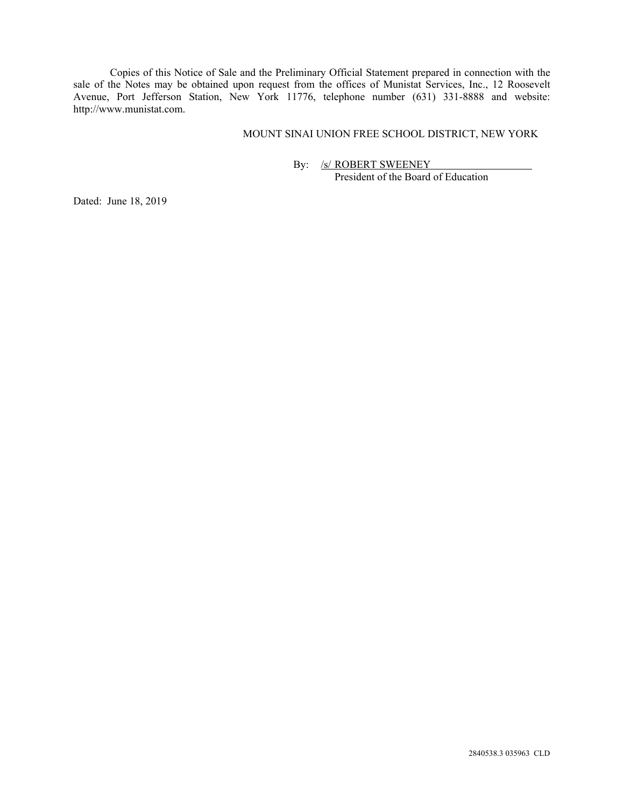Copies of this Notice of Sale and the Preliminary Official Statement prepared in connection with the sale of the Notes may be obtained upon request from the offices of Munistat Services, Inc., 12 Roosevelt Avenue, Port Jefferson Station, New York 11776, telephone number (631) 331-8888 and website: http://www.munistat.com.

## MOUNT SINAI UNION FREE SCHOOL DISTRICT, NEW YORK

By: /s/ ROBERT SWEENEY President of the Board of Education

Dated: June 18, 2019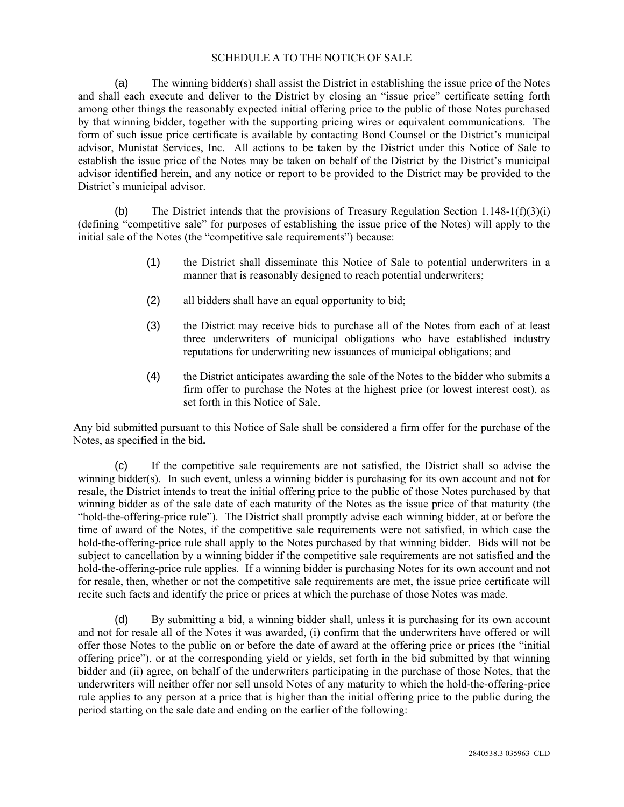## SCHEDULE A TO THE NOTICE OF SALE

(a) The winning bidder(s) shall assist the District in establishing the issue price of the Notes and shall each execute and deliver to the District by closing an "issue price" certificate setting forth among other things the reasonably expected initial offering price to the public of those Notes purchased by that winning bidder, together with the supporting pricing wires or equivalent communications. The form of such issue price certificate is available by contacting Bond Counsel or the District's municipal advisor, Munistat Services, Inc. All actions to be taken by the District under this Notice of Sale to establish the issue price of the Notes may be taken on behalf of the District by the District's municipal advisor identified herein, and any notice or report to be provided to the District may be provided to the District's municipal advisor.

(b) The District intends that the provisions of Treasury Regulation Section 1.148-1(f)(3)(i) (defining "competitive sale" for purposes of establishing the issue price of the Notes) will apply to the initial sale of the Notes (the "competitive sale requirements") because:

- (1) the District shall disseminate this Notice of Sale to potential underwriters in a manner that is reasonably designed to reach potential underwriters;
- (2) all bidders shall have an equal opportunity to bid;
- (3) the District may receive bids to purchase all of the Notes from each of at least three underwriters of municipal obligations who have established industry reputations for underwriting new issuances of municipal obligations; and
- (4) the District anticipates awarding the sale of the Notes to the bidder who submits a firm offer to purchase the Notes at the highest price (or lowest interest cost), as set forth in this Notice of Sale.

Any bid submitted pursuant to this Notice of Sale shall be considered a firm offer for the purchase of the Notes, as specified in the bid**.** 

(c) If the competitive sale requirements are not satisfied, the District shall so advise the winning bidder(s). In such event, unless a winning bidder is purchasing for its own account and not for resale, the District intends to treat the initial offering price to the public of those Notes purchased by that winning bidder as of the sale date of each maturity of the Notes as the issue price of that maturity (the "hold-the-offering-price rule"). The District shall promptly advise each winning bidder, at or before the time of award of the Notes, if the competitive sale requirements were not satisfied, in which case the hold-the-offering-price rule shall apply to the Notes purchased by that winning bidder. Bids will not be subject to cancellation by a winning bidder if the competitive sale requirements are not satisfied and the hold-the-offering-price rule applies. If a winning bidder is purchasing Notes for its own account and not for resale, then, whether or not the competitive sale requirements are met, the issue price certificate will recite such facts and identify the price or prices at which the purchase of those Notes was made.

(d) By submitting a bid, a winning bidder shall, unless it is purchasing for its own account and not for resale all of the Notes it was awarded, (i) confirm that the underwriters have offered or will offer those Notes to the public on or before the date of award at the offering price or prices (the "initial offering price"), or at the corresponding yield or yields, set forth in the bid submitted by that winning bidder and (ii) agree, on behalf of the underwriters participating in the purchase of those Notes, that the underwriters will neither offer nor sell unsold Notes of any maturity to which the hold-the-offering-price rule applies to any person at a price that is higher than the initial offering price to the public during the period starting on the sale date and ending on the earlier of the following: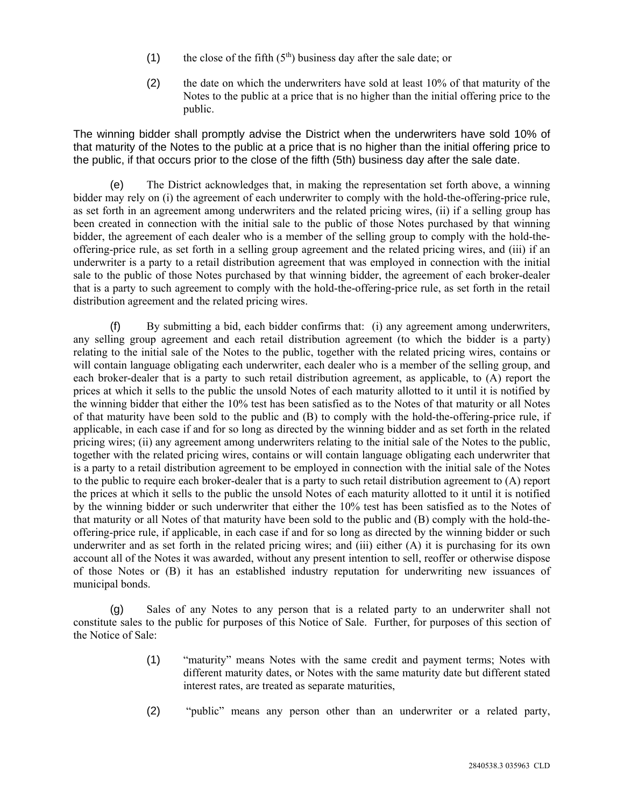- (1) the close of the fifth  $(5<sup>th</sup>)$  business day after the sale date; or
- (2) the date on which the underwriters have sold at least 10% of that maturity of the Notes to the public at a price that is no higher than the initial offering price to the public.

The winning bidder shall promptly advise the District when the underwriters have sold 10% of that maturity of the Notes to the public at a price that is no higher than the initial offering price to the public, if that occurs prior to the close of the fifth (5th) business day after the sale date.

(e) The District acknowledges that, in making the representation set forth above, a winning bidder may rely on (i) the agreement of each underwriter to comply with the hold-the-offering-price rule, as set forth in an agreement among underwriters and the related pricing wires, (ii) if a selling group has been created in connection with the initial sale to the public of those Notes purchased by that winning bidder, the agreement of each dealer who is a member of the selling group to comply with the hold-theoffering-price rule, as set forth in a selling group agreement and the related pricing wires, and (iii) if an underwriter is a party to a retail distribution agreement that was employed in connection with the initial sale to the public of those Notes purchased by that winning bidder, the agreement of each broker-dealer that is a party to such agreement to comply with the hold-the-offering-price rule, as set forth in the retail distribution agreement and the related pricing wires.

(f) By submitting a bid, each bidder confirms that: (i) any agreement among underwriters, any selling group agreement and each retail distribution agreement (to which the bidder is a party) relating to the initial sale of the Notes to the public, together with the related pricing wires, contains or will contain language obligating each underwriter, each dealer who is a member of the selling group, and each broker-dealer that is a party to such retail distribution agreement, as applicable, to (A) report the prices at which it sells to the public the unsold Notes of each maturity allotted to it until it is notified by the winning bidder that either the 10% test has been satisfied as to the Notes of that maturity or all Notes of that maturity have been sold to the public and (B) to comply with the hold-the-offering-price rule, if applicable, in each case if and for so long as directed by the winning bidder and as set forth in the related pricing wires; (ii) any agreement among underwriters relating to the initial sale of the Notes to the public, together with the related pricing wires, contains or will contain language obligating each underwriter that is a party to a retail distribution agreement to be employed in connection with the initial sale of the Notes to the public to require each broker-dealer that is a party to such retail distribution agreement to (A) report the prices at which it sells to the public the unsold Notes of each maturity allotted to it until it is notified by the winning bidder or such underwriter that either the 10% test has been satisfied as to the Notes of that maturity or all Notes of that maturity have been sold to the public and (B) comply with the hold-theoffering-price rule, if applicable, in each case if and for so long as directed by the winning bidder or such underwriter and as set forth in the related pricing wires; and (iii) either (A) it is purchasing for its own account all of the Notes it was awarded, without any present intention to sell, reoffer or otherwise dispose of those Notes or (B) it has an established industry reputation for underwriting new issuances of municipal bonds.

(g) Sales of any Notes to any person that is a related party to an underwriter shall not constitute sales to the public for purposes of this Notice of Sale. Further, for purposes of this section of the Notice of Sale:

- (1) "maturity" means Notes with the same credit and payment terms; Notes with different maturity dates, or Notes with the same maturity date but different stated interest rates, are treated as separate maturities,
- (2) "public" means any person other than an underwriter or a related party,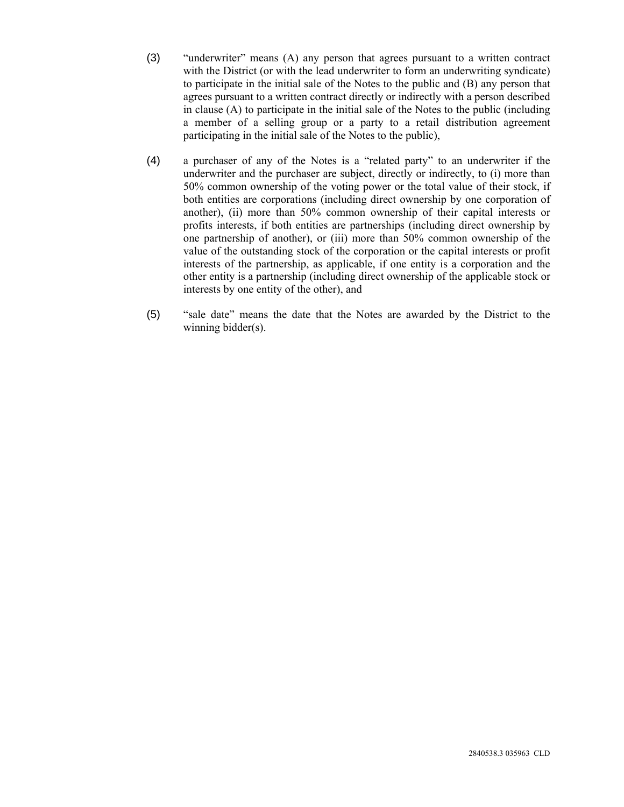- (3) "underwriter" means (A) any person that agrees pursuant to a written contract with the District (or with the lead underwriter to form an underwriting syndicate) to participate in the initial sale of the Notes to the public and (B) any person that agrees pursuant to a written contract directly or indirectly with a person described in clause (A) to participate in the initial sale of the Notes to the public (including a member of a selling group or a party to a retail distribution agreement participating in the initial sale of the Notes to the public),
- (4) a purchaser of any of the Notes is a "related party" to an underwriter if the underwriter and the purchaser are subject, directly or indirectly, to (i) more than 50% common ownership of the voting power or the total value of their stock, if both entities are corporations (including direct ownership by one corporation of another), (ii) more than 50% common ownership of their capital interests or profits interests, if both entities are partnerships (including direct ownership by one partnership of another), or (iii) more than 50% common ownership of the value of the outstanding stock of the corporation or the capital interests or profit interests of the partnership, as applicable, if one entity is a corporation and the other entity is a partnership (including direct ownership of the applicable stock or interests by one entity of the other), and
- (5) "sale date" means the date that the Notes are awarded by the District to the winning bidder(s).